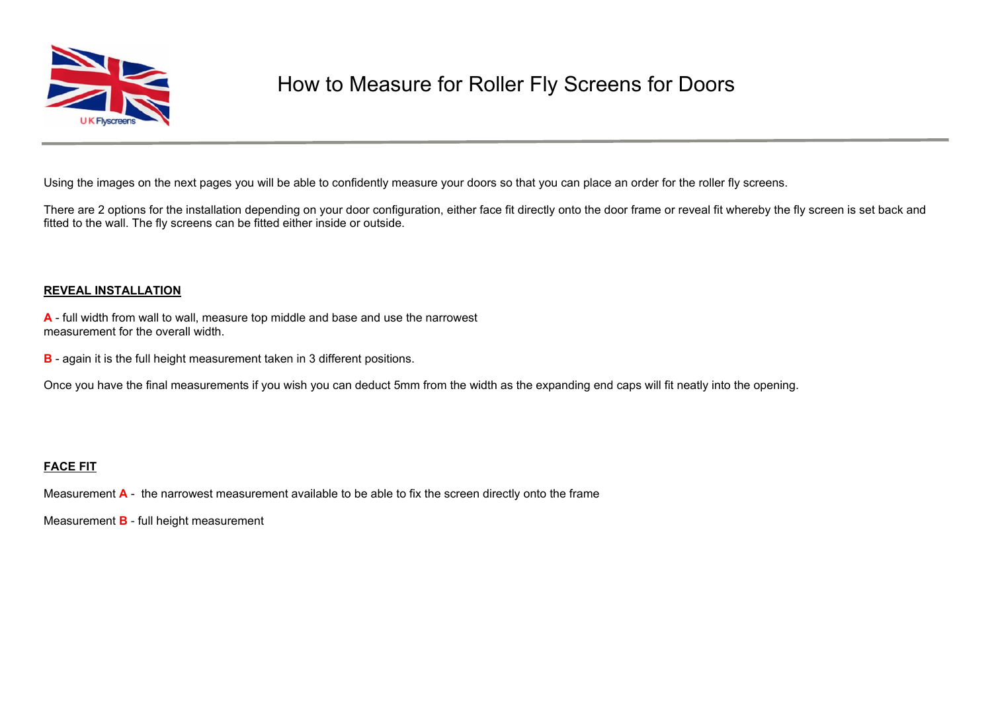

## How to Measure for Roller Fly Screens for Doors

Using the images on the next pages you will be able to confidently measure your doors so that you can place an order for the roller fly screens.

There are 2 options for the installation depending on your door configuration, either face fit directly onto the door frame or reveal fit whereby the fly screen is set back and fitted to the wall. The fly screens can be fitted either inside or outside.

## **REVEAL INSTALLATION**

**A** - full width from wall to wall, measure top middle and base and use the narrowest measurement for the overall width.

**B** - again it is the full height measurement taken in 3 different positions.

Once you have the final measurements if you wish you can deduct 5mm from the width as the expanding end caps will fit neatly into the opening.

## **FACE FIT**

Measurement **A** - the narrowest measurement available to be able to fix the screen directly onto the frame

Measurement **B** - full height measurement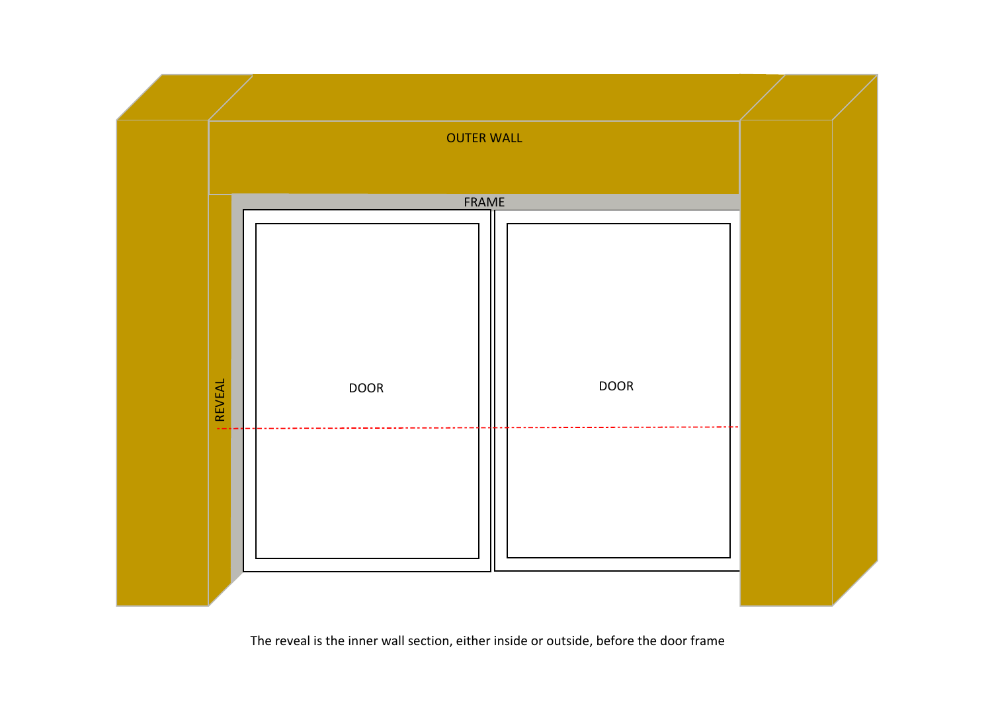

The reveal is the inner wall section, either inside or outside, before the door frame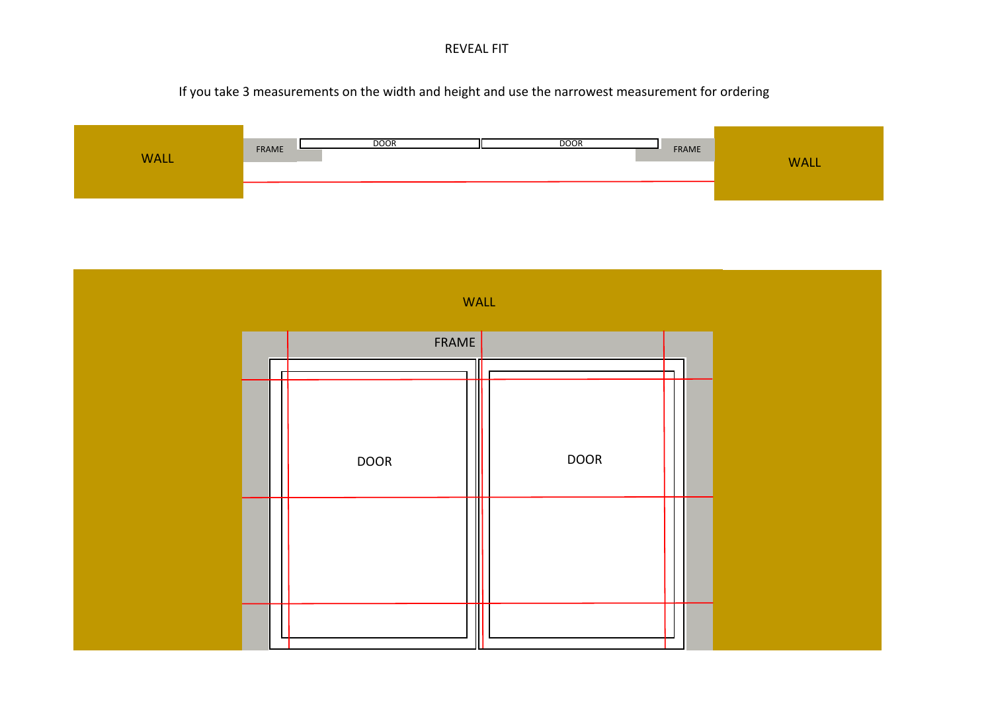REVEAL FIT

If you take 3 measurements on the width and height and use the narrowest measurement for ordering